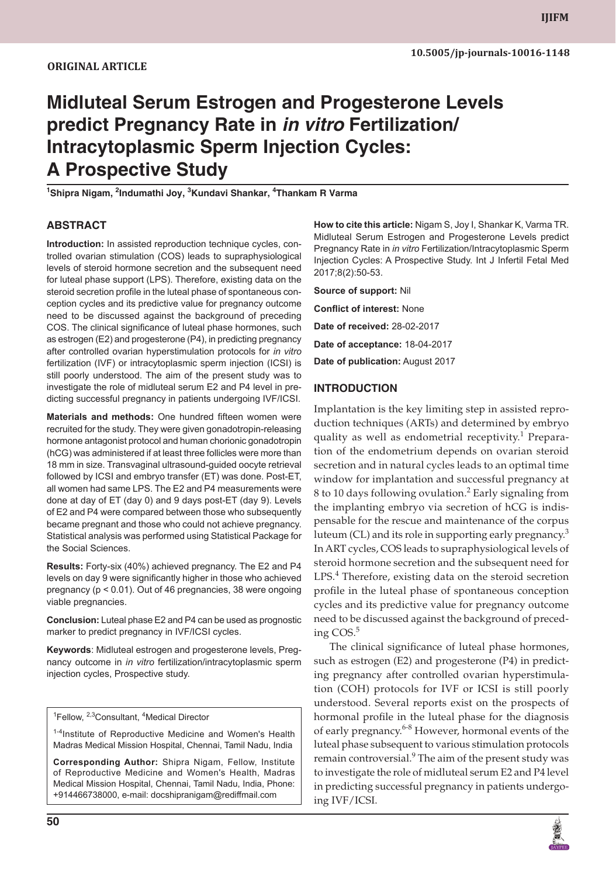# **Midluteal Serum Estrogen and Progesterone Levels predict Pregnancy Rate in** *in vitro* **Fertilization/ Intracytoplasmic Sperm Injection Cycles: A Prospective Study**

<sup>1</sup>Shipra Nigam, <sup>2</sup>Indumathi Joy, <sup>3</sup>Kundavi Shankar, <sup>4</sup>Thankam R Varma

## **ABSTRACT**

**Introduction:** In assisted reproduction technique cycles, controlled ovarian stimulation (COS) leads to supraphysiological levels of steroid hormone secretion and the subsequent need for luteal phase support (LPS). Therefore, existing data on the steroid secretion profile in the luteal phase of spontaneous conception cycles and its predictive value for pregnancy outcome need to be discussed against the background of preceding COS. The clinical significance of luteal phase hormones, such as estrogen (E2) and progesterone (P4), in predicting pregnancy after controlled ovarian hyperstimulation protocols for *in vitro* fertilization (IVF) or intracytoplasmic sperm injection (ICSI) is still poorly understood. The aim of the present study was to investigate the role of midluteal serum E2 and P4 level in predicting successful pregnancy in patients undergoing IVF/ICSI.

**Materials and methods:** One hundred fifteen women were recruited for the study. They were given gonadotropin-releasing hormone antagonist protocol and human chorionic gonadotropin (hCG) was administered if at least three follicles were more than 18 mm in size. Transvaginal ultrasound-guided oocyte retrieval followed by ICSI and embryo transfer (ET) was done. Post-ET, all women had same LPS. The E2 and P4 measurements were done at day of ET (day 0) and 9 days post-ET (day 9). Levels of E2 and P4 were compared between those who subsequently became pregnant and those who could not achieve pregnancy. Statistical analysis was performed using Statistical Package for the Social Sciences.

**Results:** Forty-six (40%) achieved pregnancy. The E2 and P4 levels on day 9 were significantly higher in those who achieved pregnancy (p < 0.01). Out of 46 pregnancies, 38 were ongoing viable pregnancies.

**Conclusion:** Luteal phase E2 and P4 can be used as prognostic marker to predict pregnancy in IVF/ICSI cycles.

**Keywords**: Midluteal estrogen and progesterone levels, Pregnancy outcome in *in vitro* fertilization/intracytoplasmic sperm injection cycles, Prospective study.

<sup>1</sup>Fellow, <sup>2,3</sup>Consultant, <sup>4</sup>Medical Director

1-4Institute of Reproductive Medicine and Women's Health Madras Medical Mission Hospital, Chennai, Tamil Nadu, India

**Corresponding Author:** Shipra Nigam, Fellow, Institute of Reproductive Medicine and Women's Health, Madras Medical Mission Hospital, Chennai, Tamil Nadu, India, Phone: +914466738000, e-mail: docshipranigam@rediffmail.com

**How to cite this article:** Nigam S, Joy I, Shankar K, Varma TR. Midluteal Serum Estrogen and Progesterone Levels predict Pregnancy Rate in *in vitro* Fertilization/Intracytoplasmic Sperm Injection Cycles: A Prospective Study. Int J Infertil Fetal Med 2017;8(2):50-53.

**Source of support:** Nil

**Conflict of interest:** None **Date of received:** 28-02-2017

**Date of acceptance:** 18-04-2017

**Date of publication:** August 2017

#### **INTRODUCTION**

Implantation is the key limiting step in assisted reproduction techniques (ARTs) and determined by embryo quality as well as endometrial receptivity.<sup>1</sup> Preparation of the endometrium depends on ovarian steroid secretion and in natural cycles leads to an optimal time window for implantation and successful pregnancy at 8 to 10 days following ovulation.<sup>2</sup> Early signaling from the implanting embryo via secretion of hCG is indispensable for the rescue and maintenance of the corpus luteum (CL) and its role in supporting early pregnancy.<sup>3</sup> In ART cycles, COS leads to supraphysiological levels of steroid hormone secretion and the subsequent need for LPS.<sup>4</sup> Therefore, existing data on the steroid secretion profile in the luteal phase of spontaneous conception cycles and its predictive value for pregnancy outcome need to be discussed against the background of preceding COS.<sup>5</sup>

The clinical significance of luteal phase hormones, such as estrogen (E2) and progesterone (P4) in predicting pregnancy after controlled ovarian hyperstimulation (COH) protocols for IVF or ICSI is still poorly understood. Several reports exist on the prospects of hormonal profile in the luteal phase for the diagnosis of early pregnancy.<sup>6-8</sup> However, hormonal events of the luteal phase subsequent to various stimulation protocols remain controversial.<sup>9</sup> The aim of the present study was to investigate the role of midluteal serum E2 and P4 level in predicting successful pregnancy in patients undergoing IVF/ICSI.

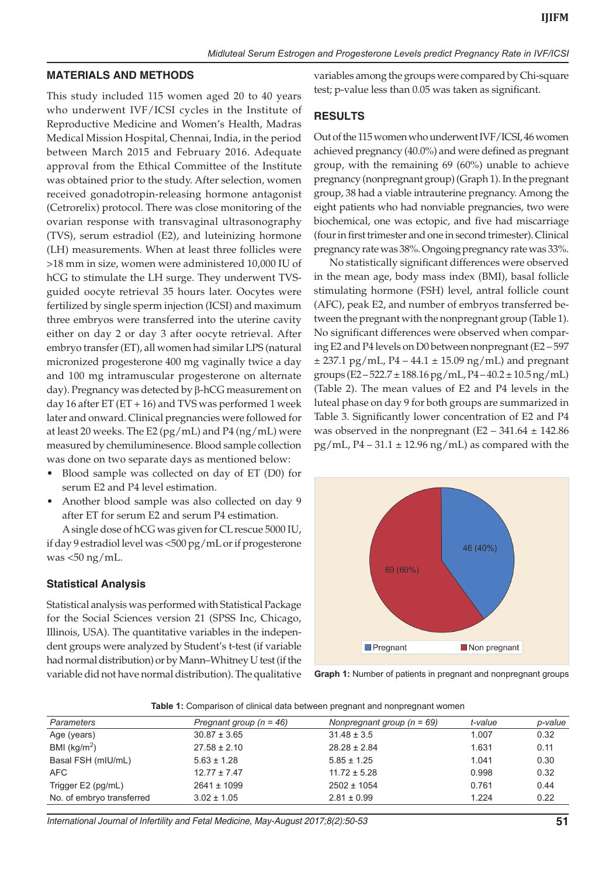#### **MATERIALS AND METHODS**

This study included 115 women aged 20 to 40 years who underwent IVF/ICSI cycles in the Institute of Reproductive Medicine and Women's Health, Madras Medical Mission Hospital, Chennai, India, in the period between March 2015 and February 2016. Adequate approval from the Ethical Committee of the Institute was obtained prior to the study. After selection, women received gonadotropin-releasing hormone antagonist (Cetrorelix) protocol. There was close monitoring of the ovarian response with transvaginal ultrasonography (TVS), serum estradiol (E2), and luteinizing hormone (LH) measurements. When at least three follicles were >18 mm in size, women were administered 10,000 IU of hCG to stimulate the LH surge. They underwent TVSguided oocyte retrieval 35 hours later. Oocytes were fertilized by single sperm injection (ICSI) and maximum three embryos were transferred into the uterine cavity either on day 2 or day 3 after oocyte retrieval. After embryo transfer (ET), all women had similar LPS (natural micronized progesterone 400 mg vaginally twice a day and 100 mg intramuscular progesterone on alternate day). Pregnancy was detected by β-hCG measurement on day 16 after  $ET (ET + 16)$  and TVS was performed 1 week later and onward. Clinical pregnancies were followed for at least 20 weeks. The E2 (pg/mL) and P4 (ng/mL) were measured by chemiluminesence. Blood sample collection was done on two separate days as mentioned below:

- Blood sample was collected on day of ET (D0) for serum E2 and P4 level estimation.
- Another blood sample was also collected on day 9 after ET for serum E2 and serum P4 estimation.

A single dose of hCG was given for CL rescue 5000 IU, if day 9 estradiol level was <500 pg/mL or if progesterone was  $<$ 50 ng/mL.

#### **Statistical Analysis**

Statistical analysis was performed with Statistical Package for the Social Sciences version 21 (SPSS Inc, Chicago, Illinois, USA). The quantitative variables in the independent groups were analyzed by Student's t-test (if variable had normal distribution) or by Mann–Whitney U test (if the variable did not have normal distribution). The qualitative variables among the groups were compared by Chi-square test; p-value less than 0.05 was taken as significant.

## **RESULTS**

Out of the 115 women who underwent IVF/ICSI, 46 women achieved pregnancy (40.0%) and were defined as pregnant group, with the remaining 69 (60%) unable to achieve pregnancy (nonpregnant group) (Graph 1). In the pregnant group, 38 had a viable intrauterine pregnancy. Among the eight patients who had nonviable pregnancies, two were biochemical, one was ectopic, and five had miscarriage (four in first trimester and one in second trimester). Clinical pregnancy rate was 38%. Ongoing pregnancy rate was 33%.

No statistically significant differences were observed in the mean age, body mass index (BMI), basal follicle stimulating hormone (FSH) level, antral follicle count (AFC), peak E2, and number of embryos transferred between the pregnant with the nonpregnant group (Table 1). No significant differences were observed when comparing E2 and P4 levels on D0 between nonpregnant(E2 – 597  $\pm$  237.1 pg/mL, P4 – 44.1  $\pm$  15.09 ng/mL) and pregnant groups (E2 – 522.7  $\pm$  188.16 pg/mL, P4 – 40.2  $\pm$  10.5 ng/mL) (Table 2). The mean values of E2 and P4 levels in the luteal phase on day 9 for both groups are summarized in Table 3. Significantly lower concentration of E2 and P4 was observed in the nonpregnant  $(E2 - 341.64 \pm 142.86)$  $pg/mL$ , P4 – 31.1  $\pm$  12.96 ng/mL) as compared with the



**Graph 1:** Number of patients in pregnant and nonpregnant groups

**Table 1:** Comparison of clinical data between pregnant and nonpregnant women

| Parameters                | Pregnant group $(n = 46)$ | Nonpregnant group $(n = 69)$ | t-value | p-value |
|---------------------------|---------------------------|------------------------------|---------|---------|
| Age (years)               | $30.87 \pm 3.65$          | $31.48 \pm 3.5$              | 1.007   | 0.32    |
| BMI ( $kg/m2$ )           | $27.58 \pm 2.10$          | $28.28 \pm 2.84$             | 1.631   | 0.11    |
| Basal FSH (mIU/mL)        | $5.63 \pm 1.28$           | $5.85 \pm 1.25$              | 1.041   | 0.30    |
| AFC                       | $12.77 \pm 7.47$          | $11.72 \pm 5.28$             | 0.998   | 0.32    |
| Trigger E2 (pg/mL)        | $2641 \pm 1099$           | $2502 \pm 1054$              | 0.761   | 0.44    |
| No. of embryo transferred | $3.02 \pm 1.05$           | $2.81 \pm 0.99$              | 1.224   | 0.22    |
|                           |                           |                              |         |         |

*International Journal of Infertility and Fetal Medicine, May-August 2017;8(2):50-53* **51**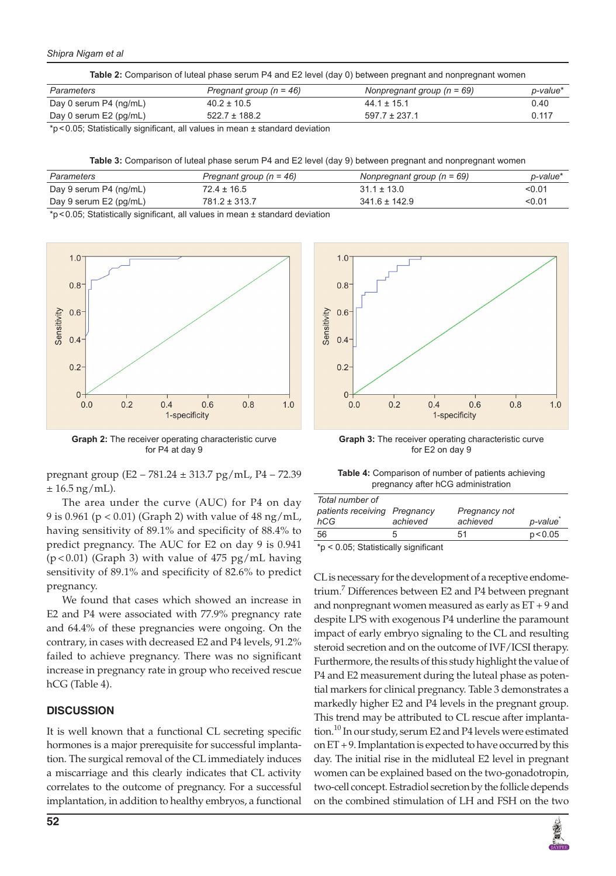#### *Shipra Nigam et al*

|  | Table 2: Comparison of luteal phase serum P4 and E2 level (day 0) between pregnant and nonpregnant women |  |
|--|----------------------------------------------------------------------------------------------------------|--|
|--|----------------------------------------------------------------------------------------------------------|--|

| Parameters             | Pregnant group ( $n = 46$ ) | Nonpregnant group $(n = 69)$ | p-value* |
|------------------------|-----------------------------|------------------------------|----------|
| Day 0 serum P4 (ng/mL) | $40.2 \pm 10.5$             | $44.1 \pm 15.1$              | 0.40     |
| Day 0 serum E2 (pg/mL) | $522.7 \pm 188.2$           | $597.7 \pm 237.1$            | 0.117    |

 $*p$ <0.05; Statistically significant, all values in mean  $\pm$  standard deviation

**Table 3:** Comparison of luteal phase serum P4 and E2 level (day 9) between pregnant and nonpregnant women

| Parameters             | Pregnant group $(n = 46)$ | Nonpregnant group $(n = 69)$ | p-value* |
|------------------------|---------------------------|------------------------------|----------|
| Day 9 serum P4 (ng/mL) | $72.4 \pm 16.5$           | $31.1 \pm 13.0$              | < 0.01   |
| Day 9 serum E2 (pg/mL) | $781.2 \pm 313.7$         | $341.6 \pm 142.9$            | < 0.01   |

\*p<0.05; Statistically significant, all values in mean ± standard deviation



**Graph 2:** The receiver operating characteristic curve for P4 at day 9

pregnant group (E2 – 781.24 ± 313.7 pg/mL, P4 – 72.39  $± 16.5$  ng/mL).

The area under the curve (AUC) for P4 on day 9 is 0.961 (p < 0.01) (Graph 2) with value of 48 ng/mL, having sensitivity of 89.1% and specificity of 88.4% to predict pregnancy. The AUC for E2 on day 9 is 0.941  $(p<0.01)$  (Graph 3) with value of 475 pg/mL having sensitivity of 89.1% and specificity of 82.6% to predict pregnancy.

We found that cases which showed an increase in E2 and P4 were associated with 77.9% pregnancy rate and 64.4% of these pregnancies were ongoing. On the contrary, in cases with decreased E2 and P4 levels, 91.2% failed to achieve pregnancy. There was no significant increase in pregnancy rate in group who received rescue hCG (Table 4).

#### **DISCUSSION**

It is well known that a functional CL secreting specific hormones is a major prerequisite for successful implantation. The surgical removal of the CL immediately induces a miscarriage and this clearly indicates that CL activity correlates to the outcome of pregnancy. For a successful implantation, in addition to healthy embryos, a functional



**Graph 3:** The receiver operating characteristic curve for E2 on day 9

**Table 4:** Comparison of number of patients achieving pregnancy after hCG administration

| Total number of<br>patients receiving Pregnancy<br>hCG                                                                                                                                                                                                                                                                            | achieved | Pregnancy not<br>achieved | p-value  |
|-----------------------------------------------------------------------------------------------------------------------------------------------------------------------------------------------------------------------------------------------------------------------------------------------------------------------------------|----------|---------------------------|----------|
| 56                                                                                                                                                                                                                                                                                                                                | h        | 51                        | p < 0.05 |
| $\star$ $\sim$ $\circ$ $\circ$ $\sim$ $\sim$ $\sim$ $\star$ $\sim$ $\sim$ $\star$ $\sim$ $\sim$ $\star$ $\sim$ $\sim$ $\star$ $\sim$ $\sim$ $\star$ $\sim$ $\sim$ $\star$ $\sim$ $\sim$ $\star$ $\sim$ $\sim$ $\star$ $\sim$ $\sim$ $\star$ $\sim$ $\sim$ $\star$ $\sim$ $\sim$ $\star$ $\sim$ $\sim$ $\sim$ $\sim$ $\sim$ $\sim$ |          |                           |          |

\*p < 0.05; Statistically significant

CL is necessary for the development of a receptive endometrium.<sup>7</sup> Differences between E2 and P4 between pregnant and nonpregnant women measured as early as ET + 9 and despite LPS with exogenous P4 underline the paramount impact of early embryo signaling to the CL and resulting steroid secretion and on the outcome of IVF/ICSI therapy. Furthermore, the results of this study highlight the value of P4 and E2 measurement during the luteal phase as potential markers for clinical pregnancy. Table 3 demonstrates a markedly higher E2 and P4 levels in the pregnant group. This trend may be attributed to CL rescue after implantation.<sup>10</sup> In our study, serum E2 and P4 levels were estimated on ET + 9. Implantation is expected to have occurred by this day. The initial rise in the midluteal E2 level in pregnant women can be explained based on the two-gonadotropin, two-cell concept. Estradiol secretion by the follicle depends on the combined stimulation of LH and FSH on the two